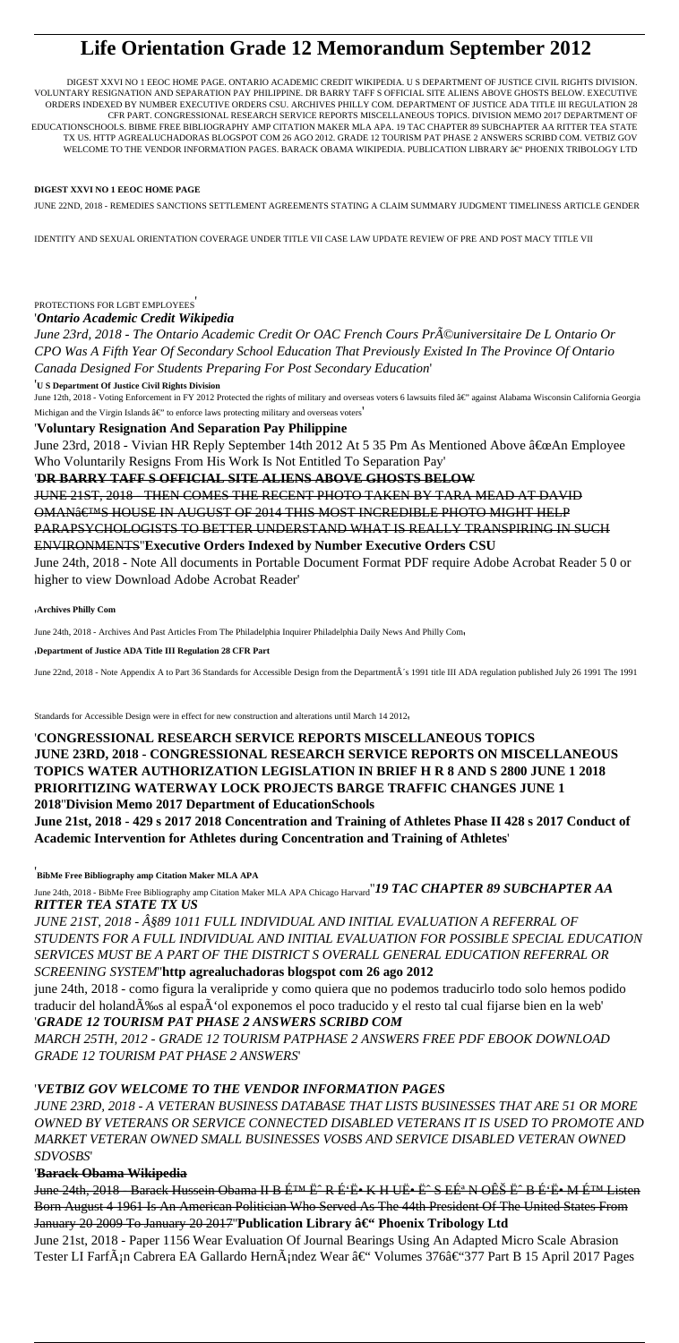## **Life Orientation Grade 12 Memorandum September 2012**

DIGEST XXVI NO 1 EEOC HOME PAGE. ONTARIO ACADEMIC CREDIT WIKIPEDIA. U S DEPARTMENT OF JUSTICE CIVIL RIGHTS DIVISION. VOLUNTARY RESIGNATION AND SEPARATION PAY PHILIPPINE. DR BARRY TAFF S OFFICIAL SITE ALIENS ABOVE GHOSTS BELOW. EXECUTIVE ORDERS INDEXED BY NUMBER EXECUTIVE ORDERS CSU. ARCHIVES PHILLY COM. DEPARTMENT OF JUSTICE ADA TITLE III REGULATION 28 CFR PART. CONGRESSIONAL RESEARCH SERVICE REPORTS MISCELLANEOUS TOPICS. DIVISION MEMO 2017 DEPARTMENT OF EDUCATIONSCHOOLS. BIBME FREE BIBLIOGRAPHY AMP CITATION MAKER MLA APA. 19 TAC CHAPTER 89 SUBCHAPTER AA RITTER TEA STATE TX US. HTTP AGREALUCHADORAS BLOGSPOT COM 26 AGO 2012. GRADE 12 TOURISM PAT PHASE 2 ANSWERS SCRIBD COM. VETBIZ GOV WELCOME TO THE VENDOR INFORMATION PAGES. BARACK OBAMA WIKIPEDIA. PUBLICATION LIBRARY  $\hat{\mathbf{a}}$ <sup>e</sup> PHOENIX TRIBOLOGY LTD

## **DIGEST XXVI NO 1 EEOC HOME PAGE**

JUNE 22ND, 2018 - REMEDIES SANCTIONS SETTLEMENT AGREEMENTS STATING A CLAIM SUMMARY JUDGMENT TIMELINESS ARTICLE GENDER

IDENTITY AND SEXUAL ORIENTATION COVERAGE UNDER TITLE VII CASE LAW UPDATE REVIEW OF PRE AND POST MACY TITLE VII

## PROTECTIONS FOR LGBT EMPLOYEES'

'*Ontario Academic Credit Wikipedia*

June 23rd, 2018 - The Ontario Academic Credit Or OAC French Cours Pr©universitaire De L Ontario Or *CPO Was A Fifth Year Of Secondary School Education That Previously Existed In The Province Of Ontario Canada Designed For Students Preparing For Post Secondary Education*'

'**U S Department Of Justice Civil Rights Division**

June 12th, 2018 - Voting Enforcement in FY 2012 Protected the rights of military and overseas voters 6 lawsuits filed â€" against Alabama Wisconsin California Georgia Michigan and the Virgin Islands  $\hat{a} \in \check{C}$  to enforce laws protecting military and overseas voters

'**Voluntary Resignation And Separation Pay Philippine**

June 23rd, 2018 - Vivian HR Reply September 14th 2012 At 5 35 Pm As Mentioned Above  $\hat{a} \in \alpha$ An Employee Who Voluntarily Resigns From His Work Is Not Entitled To Separation Pay'

'**DR BARRY TAFF S OFFICIAL SITE ALIENS ABOVE GHOSTS BELOW**

JUNE 21ST, 2018 - THEN COMES THE RECENT PHOTO TAKEN BY TARA MEAD AT DAVID OMAN€<sup>TM</sup>S HOUSE IN AUGUST OF 2014 THIS MOST INCREDIBLE PHOTO MIGHT HELP PARAPSYCHOLOGISTS TO BETTER UNDERSTAND WHAT IS REALLY TRANSPIRING IN SUCH ENVIRONMENTS''**Executive Orders Indexed by Number Executive Orders CSU**

June 24th, 2018 - Note All documents in Portable Document Format PDF require Adobe Acrobat Reader 5 0 or higher to view Download Adobe Acrobat Reader'

'**Archives Philly Com**

June 24th, 2018 - Archives And Past Articles From The Philadelphia Inquirer Philadelphia Daily News And Philly Com,

'**Department of Justice ADA Title III Regulation 28 CFR Part**

June 22nd, 2018 - Note Appendix A to Part 36 Standards for Accessible Design from the DepartmentÂ's 1991 title III ADA regulation published July 26 1991 The 1991

Standards for Accessible Design were in effect for new construction and alterations until March 14 2012'

'**CONGRESSIONAL RESEARCH SERVICE REPORTS MISCELLANEOUS TOPICS JUNE 23RD, 2018 - CONGRESSIONAL RESEARCH SERVICE REPORTS ON MISCELLANEOUS TOPICS WATER AUTHORIZATION LEGISLATION IN BRIEF H R 8 AND S 2800 JUNE 1 2018 PRIORITIZING WATERWAY LOCK PROJECTS BARGE TRAFFIC CHANGES JUNE 1 2018**''**Division Memo 2017 Department of EducationSchools**

**June 21st, 2018 - 429 s 2017 2018 Concentration and Training of Athletes Phase II 428 s 2017 Conduct of Academic Intervention for Athletes during Concentration and Training of Athletes**'

'**BibMe Free Bibliography amp Citation Maker MLA APA**

June 24th, 2018 - BibMe Free Bibliography amp Citation Maker MLA APA Chicago Harvard''*19 TAC CHAPTER 89 SUBCHAPTER AA RITTER TEA STATE TX US*

*JUNE 21ST, 2018 - §89 1011 FULL INDIVIDUAL AND INITIAL EVALUATION A REFERRAL OF STUDENTS FOR A FULL INDIVIDUAL AND INITIAL EVALUATION FOR POSSIBLE SPECIAL EDUCATION SERVICES MUST BE A PART OF THE DISTRICT S OVERALL GENERAL EDUCATION REFERRAL OR SCREENING SYSTEM*''**http agrealuchadoras blogspot com 26 ago 2012**

june 24th, 2018 - como figura la veralipride y como quiera que no podemos traducirlo todo solo hemos podido traducir del holand‰s al espaÂ'ol exponemos el poco traducido y el resto tal cual fijarse bien en la web' '*GRADE 12 TOURISM PAT PHASE 2 ANSWERS SCRIBD COM*

*MARCH 25TH, 2012 - GRADE 12 TOURISM PATPHASE 2 ANSWERS FREE PDF EBOOK DOWNLOAD GRADE 12 TOURISM PAT PHASE 2 ANSWERS*'

## '*VETBIZ GOV WELCOME TO THE VENDOR INFORMATION PAGES*

*JUNE 23RD, 2018 - A VETERAN BUSINESS DATABASE THAT LISTS BUSINESSES THAT ARE 51 OR MORE OWNED BY VETERANS OR SERVICE CONNECTED DISABLED VETERANS IT IS USED TO PROMOTE AND MARKET VETERAN OWNED SMALL BUSINESSES VOSBS AND SERVICE DISABLED VETERAN OWNED SDVOSBS*'

'**Barack Obama Wikipedia**

June 24th, 2018 - Barack Hussein Obama II B É<sup>TM</sup> Ë R É 'Ë K H UË · Ë S EÉ<sup>a</sup> N OÊŠ Ë <sup>2</sup> B É 'Ë M É<sup>TM</sup> Listen Born August 4 1961 Is An American Politician Who Served As The 44th President Of The United States From January 20 2009 To January 20 2017"Publication Library â€" Phoenix Tribology Ltd

June 21st, 2018 - Paper 1156 Wear Evaluation Of Journal Bearings Using An Adapted Micro Scale Abrasion Tester LI Farfán Cabrera EA Gallardo Hernández Wear – Volumes 376–377 Part B 15 April 2017 Pages